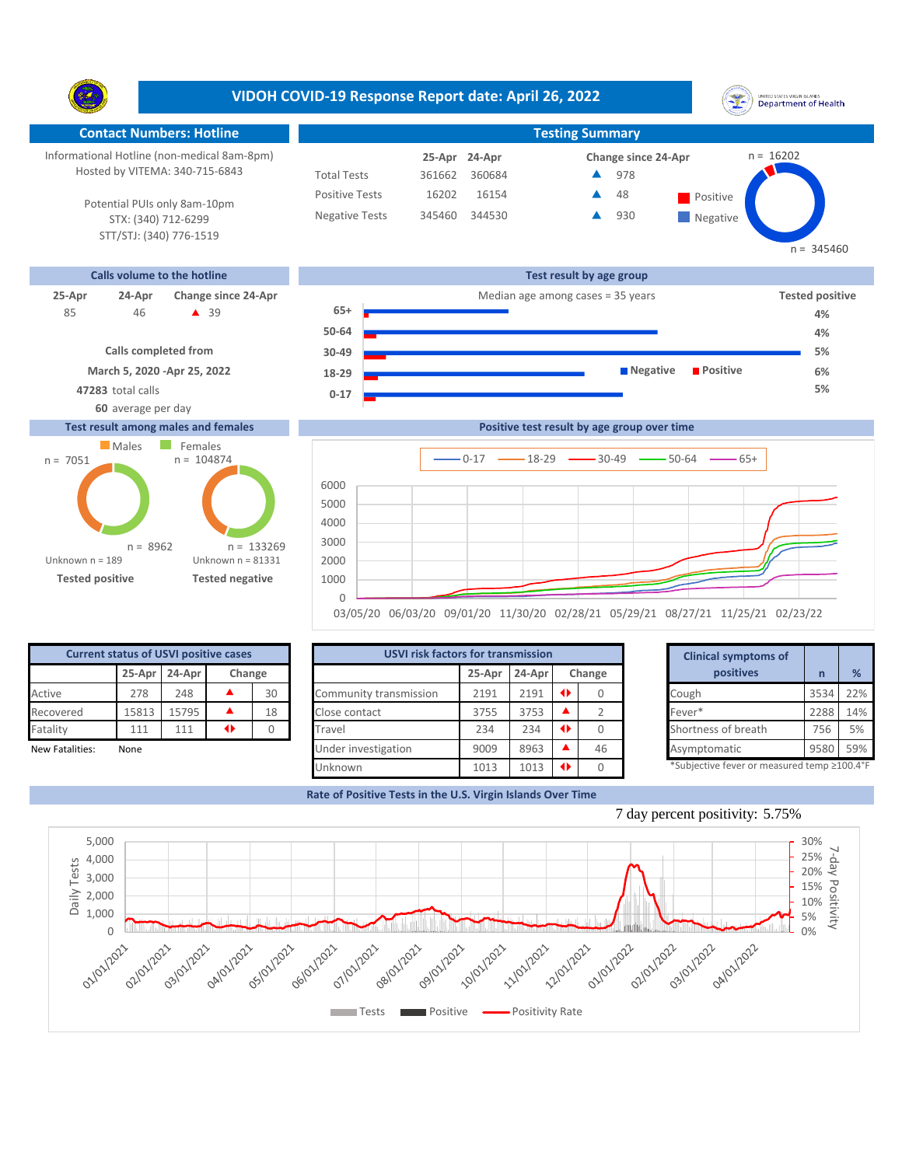UNITED STATES VIRGIN SLANDS<br>Department of Health Y. **Contact Numbers: Hotline Testing Summary** Informational Hotline (non-medical 8am-8pm)  $n = 16202$ **24-Apr 25-Apr Change since 24-Apr** Hosted by VITEMA: 340-715-6843 Total Tests 361662 360684 978 ▲ Positive Tests 16202 16154 Positive  $\blacktriangle$ 48 Potential PUIs only 8am-10pm Negative Tests 345460 344530 930 ▲ **Negative** STX: (340) 712-6299 STT/STJ: (340) 776-1519  $n = 345460$ **Calls volume to the hotline Test result by age group 25-Apr 24-Apr Change since 24-Apr** Median age among cases = 35 years **Tested positive 65+** 46 **4** 39 85 **4% 50-64 4% Calls completed from 30-49 5% March 5, 2020 -Apr 25, 2022 Negative Positive 6% 18-29 47283** total calls **5% 0-17 60** average per day **Test result among males and females Positive test result by age group over time Males** Females



|                                              |       |               |               |        |                        |                                           |        |  |        |  | 03/05/20 06/03/20 09/01/20 11/30/20 02/28/21 05/29/21 08/27/21 11/25/21 02/23/22 |      |               |
|----------------------------------------------|-------|---------------|---------------|--------|------------------------|-------------------------------------------|--------|--|--------|--|----------------------------------------------------------------------------------|------|---------------|
| <b>Current status of USVI positive cases</b> |       |               |               |        |                        | <b>USVI risk factors for transmission</b> |        |  |        |  | <b>Clinical symptoms of</b>                                                      |      |               |
|                                              |       | 25-Apr 24-Apr |               | Change |                        | 25-Apr                                    | 24-Apr |  | Change |  | <b>positives</b>                                                                 |      | $\frac{9}{6}$ |
| Active                                       | 278   | 248           |               | 30     | Community transmission | 2191                                      | 2191   |  |        |  | Cough                                                                            | 3534 | 22%           |
| Recovered                                    | 15813 | 15795         |               | 18     | Close contact          | 3755                                      | 3753   |  |        |  | Fever*                                                                           | 2288 | 14%           |
| Fatality                                     | 111   | 111           | $\rightarrow$ |        | Travel                 | 234                                       | 234    |  |        |  | Shortness of breath                                                              | 756  | 5%            |
| New Fatalities:                              | None  |               |               |        | Under investigation    | 9009                                      | 8963   |  | 46     |  | Asymptomatic                                                                     | 9580 | 59%           |
|                                              |       |               |               |        | Unknown                | 1013                                      | 1013   |  |        |  | *Subjective fever or measured temp ≥100.4°                                       |      |               |

|        | for transmission |      |        | <b>Clinical symptoms of</b>                                    |      |     |
|--------|------------------|------|--------|----------------------------------------------------------------|------|-----|
| 25-Apr | 24-Apr           |      | Change | positives                                                      | n    | %   |
| 2191   | 2191             | ◆    | 0      | Cough                                                          | 3534 | 22% |
| 3755   | 3753             |      | 2      | Fever*                                                         | 2288 | 14% |
| 234    | 234              | ◆    | 0      | Shortness of breath                                            | 756  | 5%  |
| 9009   | 8963             |      | 46     | Asymptomatic                                                   | 9580 | 59% |
| 4040   | 4040             | 48.1 | $\sim$ | $*$ Cubiastiva fovor ar mosqurad tamp $\geq$ 100 $1^{\circ}$ F |      |     |





 $0-17$   $\longrightarrow$  18-29  $\longrightarrow$  30-49  $\longrightarrow$  50-64  $\longrightarrow$  65+